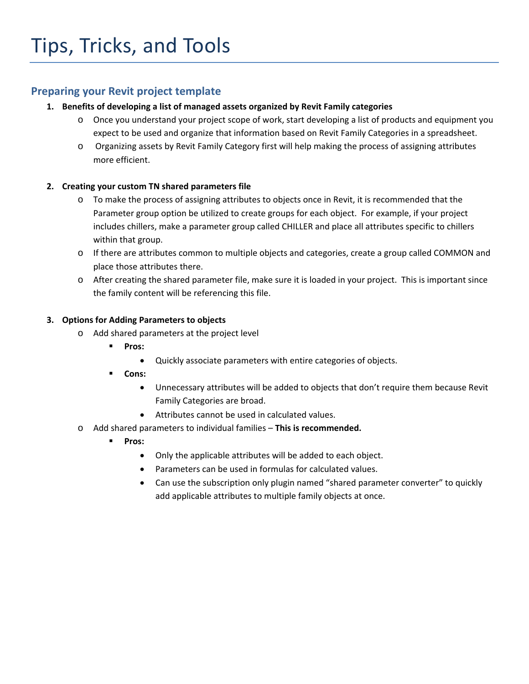## **Preparing your Revit project template**

## **1. Benefits of developing a list of managed assets organized by Revit Family categories**

- o Once you understand your project scope of work, start developing a list of products and equipment you expect to be used and organize that information based on Revit Family Categories in a spreadsheet.
- o Organizing assets by Revit Family Category first will help making the process of assigning attributes more efficient.

## **2. Creating your custom TN shared parameters file**

- o To make the process of assigning attributes to objects once in Revit, it is recommended that the Parameter group option be utilized to create groups for each object. For example, if your project includes chillers, make a parameter group called CHILLER and place all attributes specific to chillers within that group.
- o If there are attributes common to multiple objects and categories, create a group called COMMON and place those attributes there.
- o After creating the shared parameter file, make sure it is loaded in your project. This is important since the family content will be referencing this file.

## **3. Options for Adding Parameters to objects**

- o Add shared parameters at the project level
	- **Pros:** 
		- Quickly associate parameters with entire categories of objects.
	- **Cons:** 
		- Unnecessary attributes will be added to objects that don't require them because Revit Family Categories are broad.
		- Attributes cannot be used in calculated values.
- o Add shared parameters to individual families **This is recommended.**
	- **Pros:** 
		- Only the applicable attributes will be added to each object.
		- Parameters can be used in formulas for calculated values.
		- Can use the subscription only plugin named "shared parameter converter" to quickly add applicable attributes to multiple family objects at once.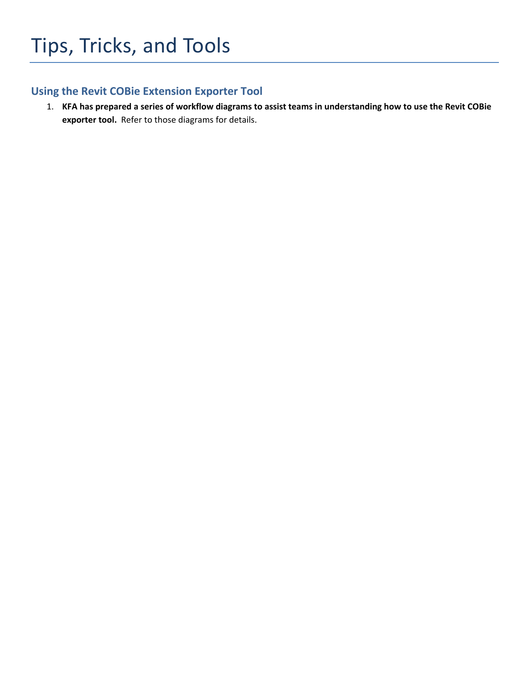# **Using the Revit COBie Extension Exporter Tool**

1. KFA has prepared a series of workflow diagrams to assist teams in understanding how to use the Revit COBie **exporter tool.** Refer to those diagrams for details.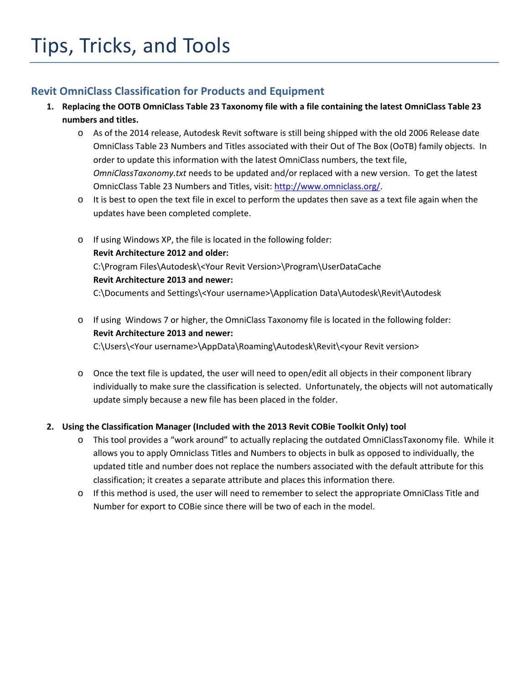# **Revit OmniClass Classification for Products and Equipment**

- 1. Replacing the OOTB OmniClass Table 23 Taxonomy file with a file containing the latest OmniClass Table 23 **numbers and titles.**
	- o As of the 2014 release, Autodesk Revit software is still being shipped with the old 2006 Release date OmniClass Table 23 Numbers and Titles associated with their Out of The Box (OoTB) family objects. In order to update this information with the latest OmniClass numbers, the text file, *OmniClassTaxonomy.txt* needs to be updated and/or replaced with a new version. To get the latest OmnicClass Table 23 Numbers and Titles, visit: http://www.omniclass.org/.
	- $\circ$  It is best to open the text file in excel to perform the updates then save as a text file again when the updates have been completed complete.
	- o If using Windows XP, the file is located in the following folder: **Revit Architecture 2012 and older:** C:\Program Files\Autodesk\<Your Revit Version>\Program\UserDataCache **Revit Architecture 2013 and newer:**  C:\Documents and Settings\<Your username>\Application Data\Autodesk\Revit\Autodesk
	- o If using Windows 7 or higher, the OmniClass Taxonomy file is located in the following folder: **Revit Architecture 2013 and newer:**

C:\Users\<Your username>\AppData\Roaming\Autodesk\Revit\<your Revit version>

o Once the text file is updated, the user will need to open/edit all objects in their component library individually to make sure the classification is selected. Unfortunately, the objects will not automatically update simply because a new file has been placed in the folder.

## **2. Using the Classification Manager (Included with the 2013 Revit COBie Toolkit Only) tool**

- o This tool provides a "work around" to actually replacing the outdated OmniClassTaxonomy file. While it allows you to apply Omniclass Titles and Numbers to objects in bulk as opposed to individually, the updated title and number does not replace the numbers associated with the default attribute for this classification; it creates a separate attribute and places this information there.
- o If this method is used, the user will need to remember to select the appropriate OmniClass Title and Number for export to COBie since there will be two of each in the model.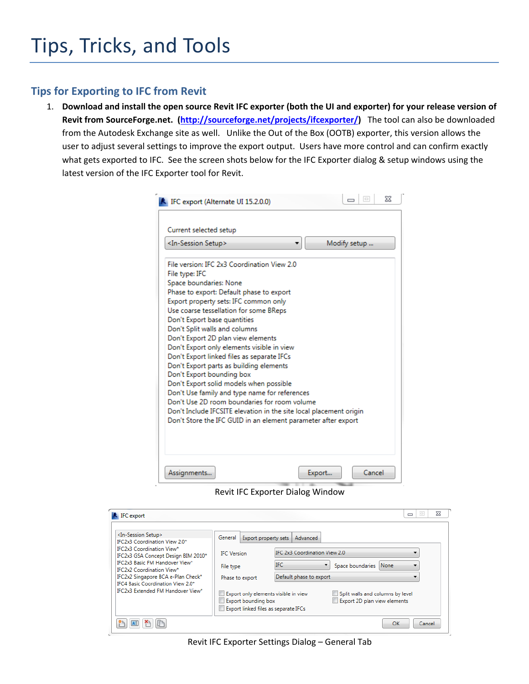## **Tips for Exporting to IFC from Revit**

1. Download and install the open source Revit IFC exporter (both the UI and exporter) for your release version of **Revit from SourceForge.net. (http://sourceforge.net/projects/ifcexporter/)** The tool can also be downloaded from the Autodesk Exchange site as well.Unlike the Out of the Box (OOTB) exporter, this version allows the user to adjust several settings to improve the export output. Users have more control and can confirm exactly what gets exported to IFC. See the screen shots below for the IFC Exporter dialog & setup windows using the latest version of the IFC Exporter tool for Revit.

| <in-session setup=""></in-session> |                               |                                                                                               |  | Modify setup |  |
|------------------------------------|-------------------------------|-----------------------------------------------------------------------------------------------|--|--------------|--|
|                                    |                               | File version: IFC 2x3 Coordination View 2.0                                                   |  |              |  |
| File type: IFC                     |                               |                                                                                               |  |              |  |
|                                    | Space boundaries: None        |                                                                                               |  |              |  |
|                                    |                               | Phase to export: Default phase to export                                                      |  |              |  |
|                                    |                               | Export property sets: IFC common only                                                         |  |              |  |
|                                    |                               | Use coarse tessellation for some BReps                                                        |  |              |  |
|                                    | Don't Export base quantities  |                                                                                               |  |              |  |
|                                    | Don't Split walls and columns |                                                                                               |  |              |  |
|                                    |                               | Don't Export 2D plan view elements                                                            |  |              |  |
|                                    |                               | Don't Export only elements visible in view                                                    |  |              |  |
|                                    |                               | Don't Export linked files as separate IFCs                                                    |  |              |  |
|                                    |                               | Don't Export parts as building elements                                                       |  |              |  |
|                                    | Don't Export bounding box     |                                                                                               |  |              |  |
|                                    |                               | Don't Export solid models when possible                                                       |  |              |  |
|                                    |                               | Don't Use family and type name for references<br>Don't Use 2D room boundaries for room volume |  |              |  |
|                                    |                               | Don't Include IFCSITE elevation in the site local placement origin                            |  |              |  |
|                                    |                               | Don't Store the IFC GUID in an element parameter after export                                 |  |              |  |
|                                    |                               |                                                                                               |  |              |  |

Revit IFC Exporter Dialog Window

| IFC export                                                                                                                                                                                                                                                                                                                                                        |                                                                                                                                                                                                          |                                                                                                                                                                                 | 53<br>$\boxed{\square}$<br>$\equiv$ |
|-------------------------------------------------------------------------------------------------------------------------------------------------------------------------------------------------------------------------------------------------------------------------------------------------------------------------------------------------------------------|----------------------------------------------------------------------------------------------------------------------------------------------------------------------------------------------------------|---------------------------------------------------------------------------------------------------------------------------------------------------------------------------------|-------------------------------------|
| <in-session setup=""><br/><b>IFC2x3 Coordination View 2.0*</b><br/><b>IFC2x3 Coordination View*</b><br/>IFC2x3 GSA Concept Design BIM 2010*<br/><b>IFC2x3 Basic FM Handover View*</b><br/><b>IEC2x2 Coordination View*</b><br/>IFC2x2 Singapore BCA e-Plan Check*<br/>IFC4 Basic Coordination View 2.0*<br/><b>IFC2x3 Extended FM Handover View*</b></in-session> | General<br>Export property sets<br><b>IFC</b> Version<br>File type<br>Phase to export<br>Export only elements visible in view<br><b>Export bounding box</b><br>Export linked files as separate IFCs<br>u | Advanced<br>IFC 2x3 Coordination View 2.0<br><b>IFC</b><br>Space boundaries None<br>Default phase to export<br>Split walls and columns by level<br>Export 2D plan view elements |                                     |
|                                                                                                                                                                                                                                                                                                                                                                   |                                                                                                                                                                                                          |                                                                                                                                                                                 | OK<br>Cancel                        |

Revit IFC Exporter Settings Dialog – General Tab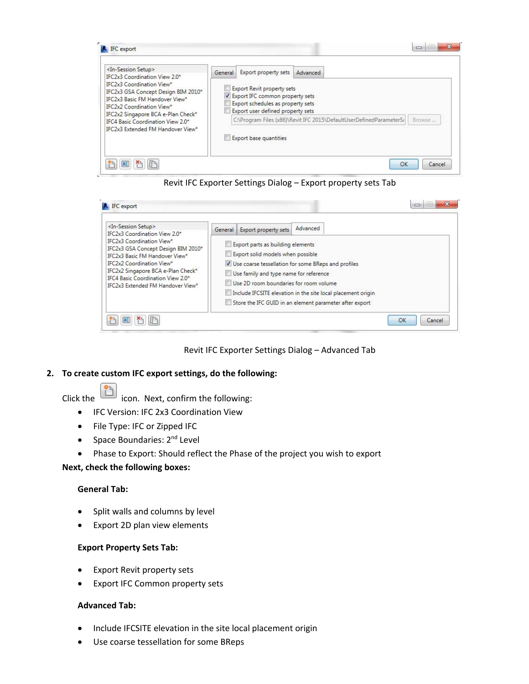

Revit IFC Exporter Settings Dialog – Export property sets Tab

| <in-session setup=""><br/>IFC2x3 Coordination View 2.0*<br/><b>IFC2x3 Coordination View*</b><br/>IFC2x3 GSA Concept Design BIM 2010*<br/>IFC2x3 Basic FM Handover View*<br/><b>IFC2x2 Coordination View*</b><br/>IFC2x2 Singapore BCA e-Plan Check*<br/>IFC4 Basic Coordination View 2.0*<br/>IFC2x3 Extended FM Handover View*</in-session> | General | Export property sets                                                                                                                                       | Advanced                                                                                                                                                                         |
|----------------------------------------------------------------------------------------------------------------------------------------------------------------------------------------------------------------------------------------------------------------------------------------------------------------------------------------------|---------|------------------------------------------------------------------------------------------------------------------------------------------------------------|----------------------------------------------------------------------------------------------------------------------------------------------------------------------------------|
|                                                                                                                                                                                                                                                                                                                                              |         | Export parts as building elements<br>Export solid models when possible<br>Use family and type name for reference<br>Use 2D room boundaries for room volume | V Use coarse tessellation for some BReps and profiles<br>Include IFCSITE elevation in the site local placement origin<br>Store the IFC GUID in an element parameter after export |



## **2. To create custom IFC export settings, do the following:**

- Click the  $\Box$  icon. Next, confirm the following:
	- **•** IFC Version: IFC 2x3 Coordination View
	- File Type: IFC or Zipped IFC
	- Space Boundaries:  $2^{nd}$  Level
	- Phase to Export: Should reflect the Phase of the project you wish to export

## **Next, check the following boxes:**

## **General Tab:**

- Split walls and columns by level
- Export 2D plan view elements

#### **Export Property Sets Tab:**

- Export Revit property sets
- Export IFC Common property sets

## **Advanced Tab:**

- Include IFCSITE elevation in the site local placement origin
- Use coarse tessellation for some BReps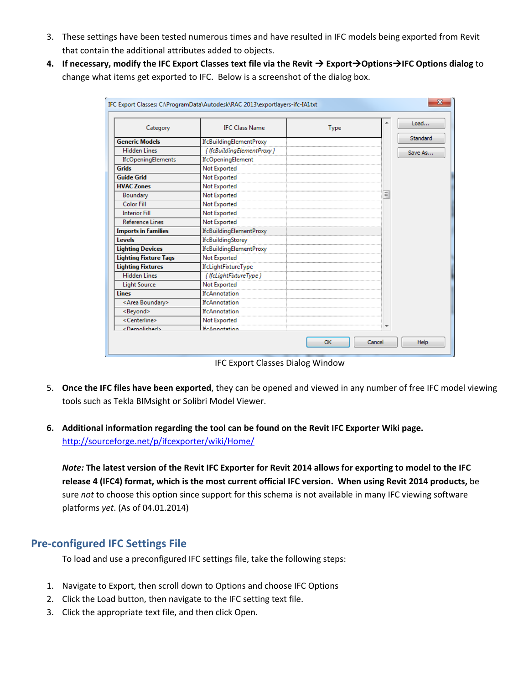- 3. These settings have been tested numerous times and have resulted in IFC models being exported from Revit that contain the additional attributes added to objects.
- 4. If necessary, modify the IFC Export Classes text file via the Revit  $\rightarrow$  Export $\rightarrow$ Options $\rightarrow$ IFC Options dialog to change what items get exported to IFC. Below is a screenshot of the dialog box.

| Category                     | <b>IFC Class Name</b>          | <b>Type</b> |   | Load            |
|------------------------------|--------------------------------|-------------|---|-----------------|
| <b>Generic Models</b>        | <b>IfcBuildingElementProxy</b> |             |   | <b>Standard</b> |
| <b>Hidden Lines</b>          | { IfcBuildingElementProxy }    |             |   | Save As         |
| <b>IfcOpeningElements</b>    | IfcOpeningElement              |             |   |                 |
| <b>Grids</b>                 | Not Exported                   |             |   |                 |
| <b>Guide Grid</b>            | Not Exported                   |             |   |                 |
| <b>HVAC Zones</b>            | Not Exported                   |             |   |                 |
| Boundary                     | Not Exported                   |             | Ξ |                 |
| <b>Color Fill</b>            | Not Exported                   |             |   |                 |
| <b>Interior Fill</b>         | Not Exported                   |             |   |                 |
| <b>Reference Lines</b>       | Not Exported                   |             |   |                 |
| <b>Imports in Families</b>   | <b>IfcBuildingElementProxy</b> |             |   |                 |
| Levels                       | <b>IfcBuildingStorey</b>       |             |   |                 |
| <b>Lighting Devices</b>      | <b>IfcBuildingElementProxy</b> |             |   |                 |
| <b>Lighting Fixture Tags</b> | Not Exported                   |             |   |                 |
| <b>Lighting Fixtures</b>     | IfcLightFixtureType            |             |   |                 |
| <b>Hidden Lines</b>          | { IfcLightFixtureType }        |             |   |                 |
| <b>Light Source</b>          | Not Exported                   |             |   |                 |
| <b>Lines</b>                 | <b>IfcAnnotation</b>           |             |   |                 |
| <area boundary=""/>          | <b>IfcAnnotation</b>           |             |   |                 |
| <beyond></beyond>            | <b>IfcAnnotation</b>           |             |   |                 |
| <centerline></centerline>    | Not Exported                   |             |   |                 |
| <demolished></demolished>    | <b>IfcAnnotation</b>           |             |   |                 |

IFC Export Classes Dialog Window

- 5. **Once the IFC files have been exported**, they can be opened and viewed in any number of free IFC model viewing tools such as Tekla BIMsight or Solibri Model Viewer.
- **6. Additional information regarding the tool can be found on the Revit IFC Exporter Wiki page.** http://sourceforge.net/p/ifcexporter/wiki/Home/

Note: The latest version of the Revit IFC Exporter for Revit 2014 allows for exporting to model to the IFC release 4 (IFC4) format, which is the most current official IFC version. When using Revit 2014 products, be sure *not* to choose this option since support for this schema is not available in many IFC viewing software platforms *yet*. (As of 04.01.2014)

## **Pre‐configured IFC Settings File**

To load and use a preconfigured IFC settings file, take the following steps:

- 1. Navigate to Export, then scroll down to Options and choose IFC Options
- 2. Click the Load button, then navigate to the IFC setting text file.
- 3. Click the appropriate text file, and then click Open.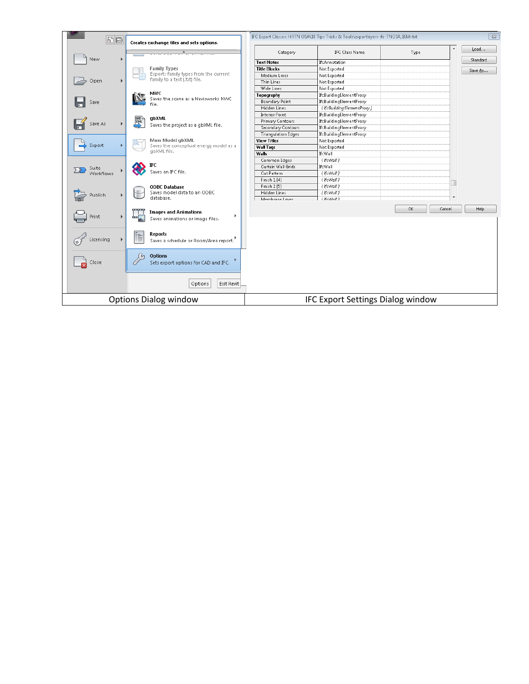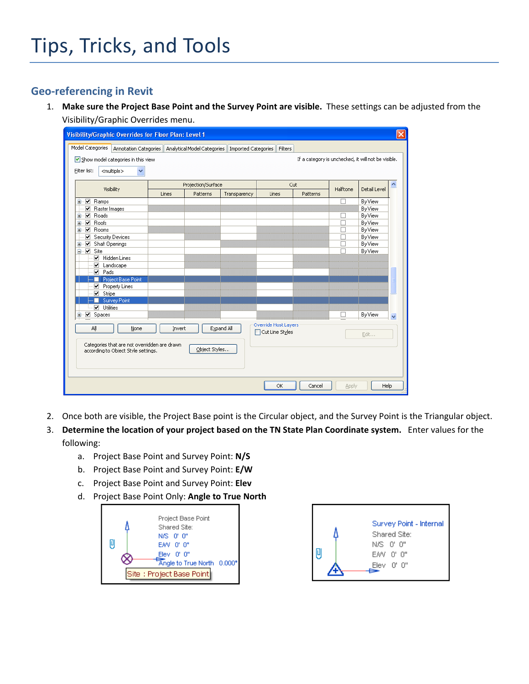## **Geo‐referencing in Revit**

1. **Make sure the Project Base Point and the Survey Point are visible.** These settings can be adjusted from the Visibility/Graphic Overrides menu.

| Model Categories<br>Annotation Categories   Analytical Model Categories   Imported Categories<br>Filters<br>If a category is unchecked, it will not be visible.<br>Show model categories in this view<br>Filter list:<br><multiple><br/><math>\checkmark</math><br/>Projection/Surface<br/>Cut<br/>Visibility<br/>Halftone<br/>Detail Level<br/>Patterns<br/>Patterns<br/>Lines<br/>Transparency<br/>Lines<br/>Ò Z<br/>Ramps<br/>By View<br/>П<br/><math>\overline{\mathbf{v}}</math><br/>By View<br/>Raster Images<br/>Ė∼⊽<br/>Roads<br/>By View<br/><math>\Box</math><br/><math>\overline{\blacktriangledown}</math><br/>П<br/>By View<br/>Roofs<br/>œ.<br/>∙⊽<br/>By View<br/>Rooms<br/>□<br/>Œ.<br/>Security Devices<br/>⊽<br/>By View<br/>□<br/>Ė-V<br/>By View<br/>Shaft Openings<br/>П<br/>Ė⊢⊽<br/>Site<br/>By View<br/>Hidden Lines<br/>☑ Landscape<br/><math>\nabla</math> Pads<br/>Project Base Point<br/>u<br/>≣<br/>Property Lines<br/><math>\triangleright</math> Stripe<br/>Survey Point<br/>ш</multiple> |
|-------------------------------------------------------------------------------------------------------------------------------------------------------------------------------------------------------------------------------------------------------------------------------------------------------------------------------------------------------------------------------------------------------------------------------------------------------------------------------------------------------------------------------------------------------------------------------------------------------------------------------------------------------------------------------------------------------------------------------------------------------------------------------------------------------------------------------------------------------------------------------------------------------------------------------------------------------------------------------------------------------------------------|
|                                                                                                                                                                                                                                                                                                                                                                                                                                                                                                                                                                                                                                                                                                                                                                                                                                                                                                                                                                                                                         |
|                                                                                                                                                                                                                                                                                                                                                                                                                                                                                                                                                                                                                                                                                                                                                                                                                                                                                                                                                                                                                         |
|                                                                                                                                                                                                                                                                                                                                                                                                                                                                                                                                                                                                                                                                                                                                                                                                                                                                                                                                                                                                                         |
|                                                                                                                                                                                                                                                                                                                                                                                                                                                                                                                                                                                                                                                                                                                                                                                                                                                                                                                                                                                                                         |
| $\nabla$ Utilities                                                                                                                                                                                                                                                                                                                                                                                                                                                                                                                                                                                                                                                                                                                                                                                                                                                                                                                                                                                                      |
| By View<br>⊞ M Spaces<br>L<br>$\checkmark$                                                                                                                                                                                                                                                                                                                                                                                                                                                                                                                                                                                                                                                                                                                                                                                                                                                                                                                                                                              |
| Override Host Layers<br>Expand All<br>Aļļ<br>None<br>Invert<br>Cut Line Styles<br>Edit<br>Categories that are not overridden are drawn<br>Object Styles<br>according to Object Style settings.                                                                                                                                                                                                                                                                                                                                                                                                                                                                                                                                                                                                                                                                                                                                                                                                                          |

- 2. Once both are visible, the Project Base point is the Circular object, and the Survey Point is the Triangular object.
- 3. **Determine the location of your project based on the TN State Plan Coordinate system.** Enter values for the following:
	- a. Project Base Point and Survey Point: **N/S**
	- b. Project Base Point and Survey Point: **E/W**
	- c. Project Base Point and Survey Point: **Elev**
	- d. Project Base Point Only: **Angle to True North**



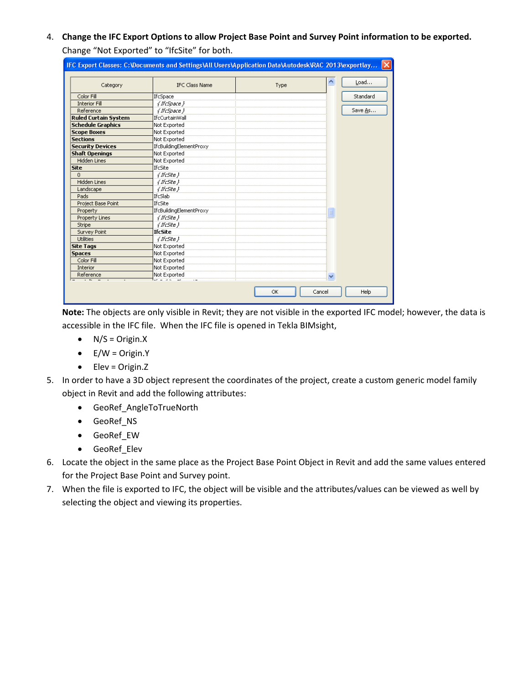4. Change the IFC Export Options to allow Project Base Point and Survey Point information to be exported. Change "Not Exported" to "IfcSite" for both.

| Category                    | <b>IFC Class Name</b>           | Type | Load     |
|-----------------------------|---------------------------------|------|----------|
| Color Fill                  | IfcSpace                        |      | Standard |
| <b>Interior Fill</b>        | { If cSpace }                   |      |          |
| Reference                   | { If cSpace }                   |      | Save As  |
| <b>Ruled Curtain System</b> | IfcCurtainWall                  |      |          |
| <b>Schedule Graphics</b>    | Not Exported                    |      |          |
| <b>Scope Boxes</b>          | Not Exported                    |      |          |
| <b>Sections</b>             | Not Exported                    |      |          |
| <b>Security Devices</b>     | IfcBuildingElementProxy         |      |          |
| <b>Shaft Openings</b>       | Not Exported                    |      |          |
| <b>Hidden Lines</b>         | Not Exported                    |      |          |
| <b>Site</b>                 | IfcSite                         |      |          |
| $\overline{0}$              | { If c5ite }                    |      |          |
| <b>Hidden Lines</b>         | $\sqrt{K}$ c5ite $\}$           |      |          |
| Landscape                   | { Ifc5ite }                     |      |          |
| Pads                        | IfcSlab                         |      |          |
| Project Base Point          | IfcSite                         |      |          |
| Property                    | IfcBuildingElementProxy         |      |          |
| <b>Property Lines</b>       | $\{ \textit{f5} \textit{f6} \}$ |      |          |
| Stripe                      | √ Bc5ite }                      |      |          |
| <b>Survey Point</b>         | <b>IfcSite</b>                  |      |          |
| <b>Utilities</b>            | { Ifc5ite }                     |      |          |
| <b>Site Tags</b>            | Not Exported                    |      |          |
| <b>Spaces</b>               | Not Exported                    |      |          |
| Color Fill                  | Not Exported                    |      |          |
| Interior                    | Not Exported                    |      |          |
| Reference                   | Not Exported                    |      |          |

**Note:** The objects are only visible in Revit; they are not visible in the exported IFC model; however, the data is accessible in the IFC file. When the IFC file is opened in Tekla BIMsight,

- $\bullet$  N/S = Origin.X
- $\bullet$  E/W = Origin.Y
- $\bullet$  Elev = Origin.Z
- 5. In order to have a 3D object represent the coordinates of the project, create a custom generic model family object in Revit and add the following attributes:
	- GeoRef\_AngleToTrueNorth
	- GeoRef\_NS
	- GeoRef\_EW
	- GeoRef\_Elev
- 6. Locate the object in the same place as the Project Base Point Object in Revit and add the same values entered for the Project Base Point and Survey point.
- 7. When the file is exported to IFC, the object will be visible and the attributes/values can be viewed as well by selecting the object and viewing its properties.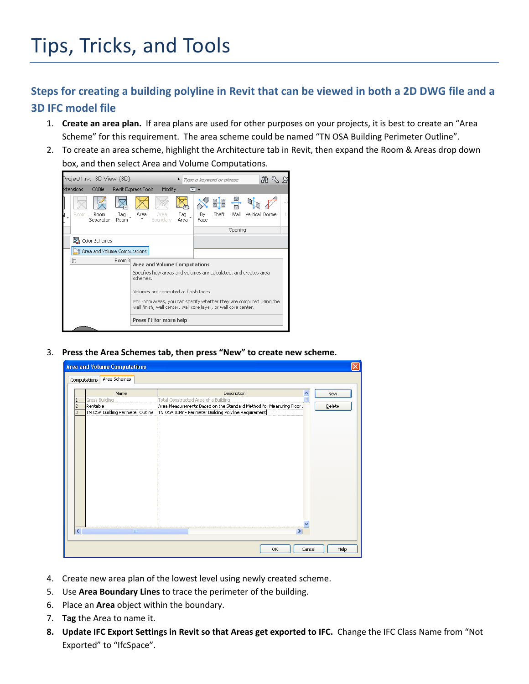# Steps for creating a building polyline in Revit that can be viewed in both a 2D DWG file and a **3D IFC model file**

- 1. **Create an area plan.** If area plans are used for other purposes on your projects, it is best to create an "Area Scheme" for this requirement. The area scheme could be named "TN OSA Building Perimeter Outline".
- 2. To create an area scheme, highlight the Architecture tab in Revit, then expand the Room & Areas drop down box, and then select Area and Volume Computations.



3. **Press the Area Schemes tab, then press "New" to create new scheme.**

|                             | <b>Area and Volume Computations</b> |                                                                     | $\times$       |
|-----------------------------|-------------------------------------|---------------------------------------------------------------------|----------------|
|                             | Area Schemes<br>Computations        |                                                                     |                |
|                             | Name                                | Description                                                         | ∧              |
| п                           | Gross Building                      | Total Constructed Area of a Building                                | New            |
| $\overline{2}$              | Rentable                            | Area Measurements Based on the Standard Method for Measuring Floor. | <b>Delete</b>  |
| Iз                          | TN OSA Building Perimeter Outline   | TN OSA BIMr - Perimeter Building Polyline Requirement               |                |
|                             |                                     |                                                                     |                |
|                             |                                     |                                                                     |                |
|                             |                                     |                                                                     |                |
|                             |                                     |                                                                     |                |
|                             |                                     |                                                                     |                |
|                             |                                     |                                                                     |                |
|                             |                                     |                                                                     |                |
|                             |                                     |                                                                     |                |
|                             |                                     |                                                                     |                |
|                             |                                     |                                                                     |                |
|                             |                                     |                                                                     |                |
|                             |                                     |                                                                     |                |
|                             |                                     |                                                                     |                |
|                             |                                     |                                                                     |                |
|                             |                                     |                                                                     |                |
| $\left  \mathbf{L} \right $ | <b>TITL</b>                         | $\rightarrow$                                                       |                |
|                             |                                     |                                                                     |                |
|                             |                                     |                                                                     |                |
|                             |                                     | OK                                                                  | Help<br>Cancel |

- 4. Create new area plan of the lowest level using newly created scheme.
- 5. Use **Area Boundary Lines** to trace the perimeter of the building.
- 6. Place an **Area** object within the boundary.
- 7. **Tag** the Area to name it.
- **8. Update IFC Export Settings in Revit so that Areas get exported to IFC.** Change the IFC Class Name from "Not Exported" to "IfcSpace".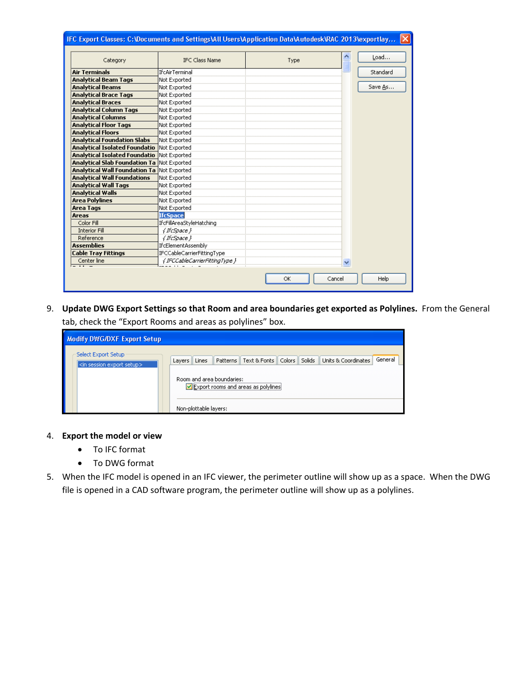| Category                                          | <b>IFC Class Name</b>          | Type |   | Load     |
|---------------------------------------------------|--------------------------------|------|---|----------|
| <b>Air Terminals</b>                              | <b>IfcAirTerminal</b>          |      |   | Standard |
| <b>Analytical Beam Tags</b>                       | Not Exported                   |      |   |          |
| <b>Analytical Beams</b>                           | Not Exported                   |      |   | Save As  |
| <b>Analytical Brace Tags</b>                      | Not Exported                   |      |   |          |
| <b>Analytical Braces</b>                          | Not Exported                   |      |   |          |
| <b>Analytical Column Tags</b>                     | Not Exported                   |      |   |          |
| <b>Analytical Columns</b>                         | Not Exported                   |      |   |          |
| <b>Analytical Floor Tags</b>                      | Not Exported                   |      |   |          |
| <b>Analytical Floors</b>                          | Not Exported                   |      |   |          |
| <b>Analytical Foundation Slabs</b>                | Not Exported                   |      |   |          |
| <b>Analytical Isolated Foundatio</b>              | Not Exported                   |      |   |          |
| <b>Analytical Isolated Foundatio</b>              | Not Exported                   |      |   |          |
| <b>Analytical Slab Foundation Ta Not Exported</b> |                                |      |   |          |
| <b>Analytical Wall Foundation Ta Not Exported</b> |                                |      |   |          |
| <b>Analytical Wall Foundations</b>                | Not Exported                   |      |   |          |
| <b>Analytical Wall Tags</b>                       | Not Exported                   |      |   |          |
| <b>Analytical Walls</b>                           | Not Exported                   |      |   |          |
| <b>Area Polylines</b>                             | Not Exported                   |      |   |          |
| <b>Area Tags</b>                                  | Not Exported                   |      |   |          |
| <b>Areas</b>                                      | IfcSpace                       |      |   |          |
| Color Fill                                        | IfcFillAreaStyleHatching       |      |   |          |
| <b>Interior Fill</b>                              | { If cSpace }                  |      |   |          |
| Reference                                         | { If cSpace }                  |      |   |          |
| <b>Assemblies</b>                                 | <b>IfcElementAssembly</b>      |      |   |          |
| <b>Cable Tray Fittings</b>                        | IFCCableCarrierFittingType     |      |   |          |
| Center line<br><del>.</del>                       | { IFCCableCarrierFittingType } |      | × |          |

9. **Update DWG Export Settings so that Room and area boundaries get exported as Polylines.** From the General tab, check the "Export Rooms and areas as polylines" box.

| <b>Modify DWG/DXF Export Setup</b>                                             |                                                                                                                                                                                        |         |
|--------------------------------------------------------------------------------|----------------------------------------------------------------------------------------------------------------------------------------------------------------------------------------|---------|
| Select Export Setup<br>$\mid$ <in export="" session="" setup<math="">&gt;</in> | Patterns    Text & Fonts    Colors    Solids    Units & Coordinates<br>Lines<br>Layers   <br>Room and area boundaries:<br>Export rooms and areas as polylines<br>Non-plottable layers: | General |

## 4. **Export the model or view**

- To IFC format
- To DWG format
- 5. When the IFC model is opened in an IFC viewer, the perimeter outline will show up as a space. When the DWG file is opened in a CAD software program, the perimeter outline will show up as a polylines.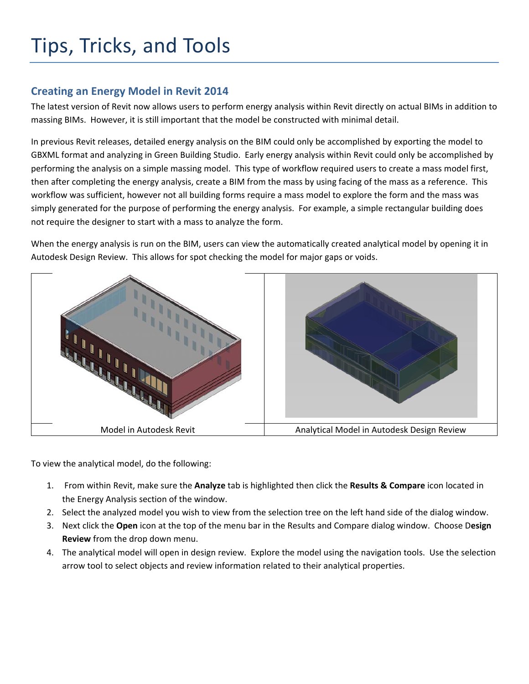# Tips, Tricks, and Tools

## **Creating an Energy Model in Revit 2014**

The latest version of Revit now allows users to perform energy analysis within Revit directly on actual BIMs in addition to massing BIMs. However, it is still important that the model be constructed with minimal detail.

In previous Revit releases, detailed energy analysis on the BIM could only be accomplished by exporting the model to GBXML format and analyzing in Green Building Studio. Early energy analysis within Revit could only be accomplished by performing the analysis on a simple massing model. This type of workflow required users to create a mass model first, then after completing the energy analysis, create a BIM from the mass by using facing of the mass as a reference. This workflow was sufficient, however not all building forms require a mass model to explore the form and the mass was simply generated for the purpose of performing the energy analysis. For example, a simple rectangular building does not require the designer to start with a mass to analyze the form.

When the energy analysis is run on the BIM, users can view the automatically created analytical model by opening it in Autodesk Design Review. This allows for spot checking the model for major gaps or voids.



To view the analytical model, do the following:

- 1. From within Revit, make sure the **Analyze** tab is highlighted then click the **Results & Compare** icon located in the Energy Analysis section of the window.
- 2. Select the analyzed model you wish to view from the selection tree on the left hand side of the dialog window.
- 3. Next click the **Open** icon at the top of the menu bar in the Results and Compare dialog window. Choose D**esign Review** from the drop down menu.
- 4. The analytical model will open in design review. Explore the model using the navigation tools. Use the selection arrow tool to select objects and review information related to their analytical properties.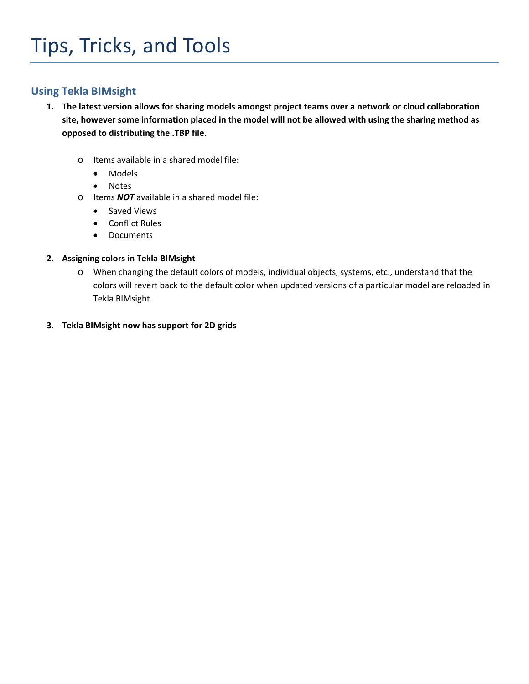## **Using Tekla BIMsight**

- 1. The latest version allows for sharing models amongst project teams over a network or cloud collaboration site, however some information placed in the model will not be allowed with using the sharing method as **opposed to distributing the .TBP file.**
	- o Items available in a shared model file:
		- Models
		- Notes
	- o Items *NOT* available in a shared model file:
		- Saved Views
		- Conflict Rules
		- Documents

## **2. Assigning colors in Tekla BIMsight**

- o When changing the default colors of models, individual objects, systems, etc., understand that the colors will revert back to the default color when updated versions of a particular model are reloaded in Tekla BIMsight.
- **3. Tekla BIMsight now has support for 2D grids**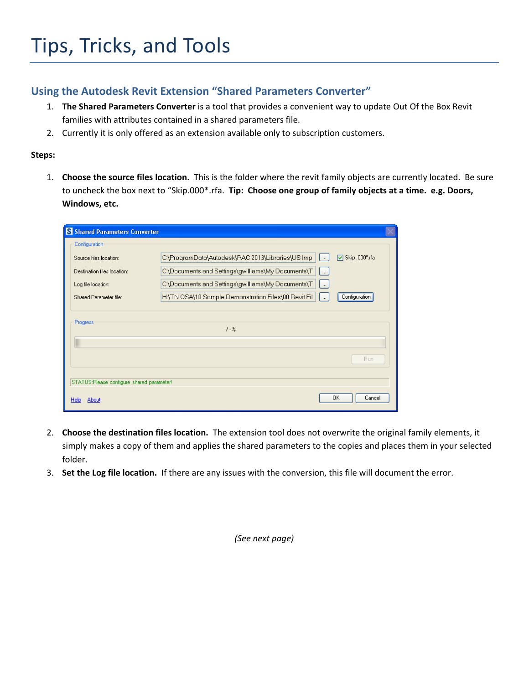# **Using the Autodesk Revit Extension "Shared Parameters Converter"**

- 1. **The Shared Parameters Converter** is a tool that provides a convenient way to update Out Of the Box Revit families with attributes contained in a shared parameters file.
- 2. Currently it is only offered as an extension available only to subscription customers.

## **Steps:**

1. **Choose the source files location.** This is the folder where the revit family objects are currently located. Be sure to uncheck the box next to "Skip.000\*.rfa. **Tip: Choose one group of family objects at a time. e.g. Doors, Windows, etc.**

| S Shared Parameters Converter             |                                                                                                          |  |
|-------------------------------------------|----------------------------------------------------------------------------------------------------------|--|
| Configuration                             |                                                                                                          |  |
| Source files Incation:                    | C:\ProgramData\Autodesk\RAC 2013\Libraries\US Imp<br>$\nabla$ Skip .000*.rfa<br>$\overline{\phantom{a}}$ |  |
| Destination files location:               | C:\Documents and Settings\gwilliams\My Documents\T<br>$\vert \; $                                        |  |
| Log file location:                        | C:\Documents and Settings\gwilliams\My Documents\T<br>$\mathbf{L}$                                       |  |
| Shared Parameter file:                    | H:\TN OSA\10 Sample Demonstration Files\00 Revit Fil-<br>Configuration<br>$\cdots$                       |  |
| Progress                                  | $1 - 26$                                                                                                 |  |
|                                           | Run                                                                                                      |  |
| STATUS:Please configure shared parameter! |                                                                                                          |  |
| About<br>Help                             | Cancel<br>OΚ                                                                                             |  |

- 2. **Choose the destination files location.** The extension tool does not overwrite the original family elements, it simply makes a copy of them and applies the shared parameters to the copies and places them in your selected folder.
- 3. **Set the Log file location.** If there are any issues with the conversion, this file will document the error.

*(See next page)*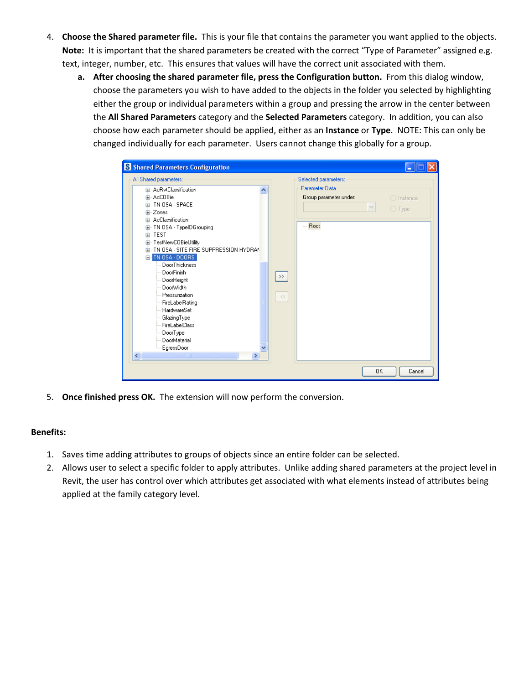- 4. **Choose the Shared parameter file.** This is your file that contains the parameter you want applied to the objects. **Note:** It is important that the shared parameters be created with the correct "Type of Parameter" assigned e.g. text, integer, number, etc. This ensures that values will have the correct unit associated with them.
	- **a. After choosing the shared parameter file, press the Configuration button.** From this dialog window, choose the parameters you wish to have added to the objects in the folder you selected by highlighting either the group or individual parameters within a group and pressing the arrow in the center between the **All Shared Parameters** category and the **Selected Parameters** category. In addition, you can also choose how each parameter should be applied, either as an **Instance** or **Type**. NOTE: This can only be changed individually for each parameter. Users cannot change this globally for a group.

| E- AcRytClassification<br>ㅅ                                                                                                                                                                                                                                                                                                                                                                                                                                                           |                                                                               |                                        |
|---------------------------------------------------------------------------------------------------------------------------------------------------------------------------------------------------------------------------------------------------------------------------------------------------------------------------------------------------------------------------------------------------------------------------------------------------------------------------------------|-------------------------------------------------------------------------------|----------------------------------------|
| 由- AcCOBie<br>面- TN OSA - SPACE<br><b>E</b> Zones<br>E- AcClassification<br>由 TN OSA - TypeIDGrouping<br>亩 TEST<br>E-TestNewCOBieUtility<br>E- TN OSA - SITE FIRE SUPPRESSION HYDRAN<br>E-TN 0SA - DOORS<br><b>DoorThickness</b><br>DoorFinish<br>DoorHeight<br>DoorWidth<br>Pressurization<br>FireLabelRating<br><b>HardwareSet</b><br>GlazingType<br><b>FireLabelClass</b><br>DoorType<br>DoorMaterial<br>EgressDoor<br>$\left\langle \right\rangle$<br><b>THE</b><br>$\rightarrow$ | Parameter Data<br>Group parameter under:<br>- Root<br>$\rightarrow$<br>$<<\,$ | $\bigcirc$ Instance<br>$\bigcirc$ Type |

5. **Once finished press OK.** The extension will now perform the conversion.

## **Benefits:**

- 1. Saves time adding attributes to groups of objects since an entire folder can be selected.
- 2. Allows user to select a specific folder to apply attributes. Unlike adding shared parameters at the project level in Revit, the user has control over which attributes get associated with what elements instead of attributes being applied at the family category level.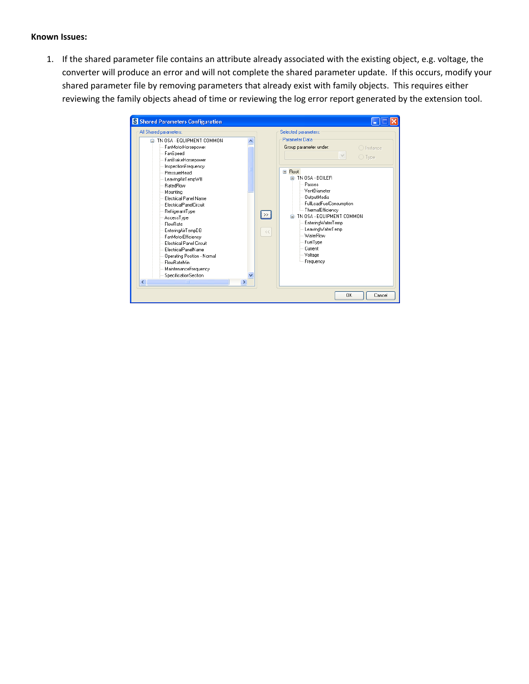#### **Known Issues:**

1. If the shared parameter file contains an attribute already associated with the existing object, e.g. voltage, the converter will produce an error and will not complete the shared parameter update. If this occurs, modify your shared parameter file by removing parameters that already exist with family objects. This requires either reviewing the family objects ahead of time or reviewing the log error report generated by the extension tool.